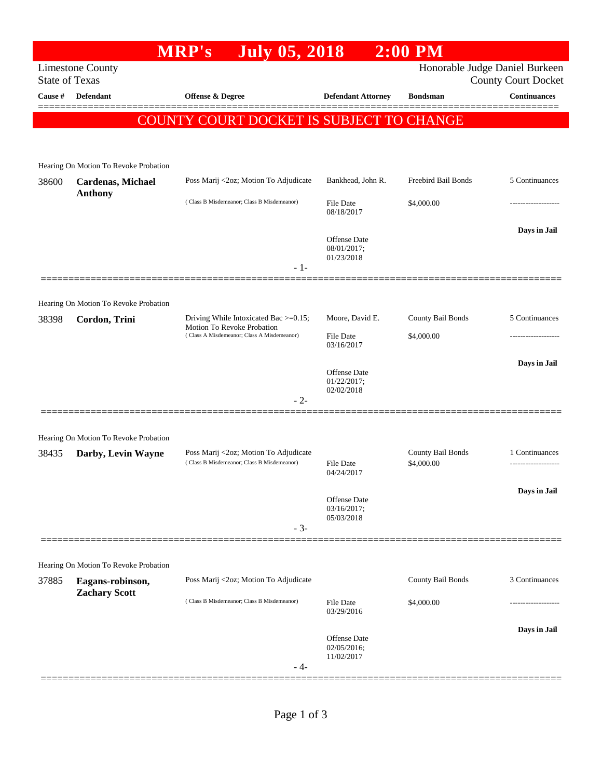|                       |                                                           | <b>MRP's</b>                                                                                                            | <b>July 05, 2018</b> |                                           | $2:00$ PM                       |                                                              |
|-----------------------|-----------------------------------------------------------|-------------------------------------------------------------------------------------------------------------------------|----------------------|-------------------------------------------|---------------------------------|--------------------------------------------------------------|
| <b>State of Texas</b> | <b>Limestone County</b>                                   |                                                                                                                         |                      |                                           |                                 | Honorable Judge Daniel Burkeen<br><b>County Court Docket</b> |
| Cause #               | <b>Defendant</b>                                          | Offense & Degree                                                                                                        |                      | <b>Defendant Attorney</b>                 | <b>Bondsman</b>                 | <b>Continuances</b>                                          |
|                       |                                                           | COUNTY COURT DOCKET IS SUBJECT TO CHANGE                                                                                |                      |                                           |                                 |                                                              |
|                       |                                                           |                                                                                                                         |                      |                                           |                                 |                                                              |
|                       | Hearing On Motion To Revoke Probation                     |                                                                                                                         |                      |                                           |                                 |                                                              |
| 38600                 | Cardenas, Michael<br><b>Anthony</b>                       | Poss Marij <2oz; Motion To Adjudicate                                                                                   |                      | Bankhead, John R.                         | Freebird Bail Bonds             | 5 Continuances                                               |
|                       |                                                           | (Class B Misdemeanor; Class B Misdemeanor)                                                                              |                      | File Date<br>08/18/2017                   | \$4,000.00                      |                                                              |
|                       |                                                           |                                                                                                                         |                      | Offense Date<br>08/01/2017;<br>01/23/2018 |                                 | Days in Jail                                                 |
|                       |                                                           |                                                                                                                         | $-1-$                |                                           |                                 |                                                              |
|                       | Hearing On Motion To Revoke Probation                     |                                                                                                                         |                      |                                           |                                 |                                                              |
| 38398                 | Cordon, Trini                                             | Driving While Intoxicated Bac $\geq$ =0.15;<br>Motion To Revoke Probation<br>(Class A Misdemeanor; Class A Misdemeanor) |                      | Moore, David E.                           | County Bail Bonds               | 5 Continuances                                               |
|                       |                                                           |                                                                                                                         |                      | File Date<br>03/16/2017                   | \$4,000.00                      |                                                              |
|                       |                                                           |                                                                                                                         |                      | Offense Date<br>01/22/2017;<br>02/02/2018 |                                 | Days in Jail                                                 |
|                       |                                                           |                                                                                                                         | $-2-$                |                                           |                                 |                                                              |
|                       | Hearing On Motion To Revoke Probation                     |                                                                                                                         |                      |                                           |                                 |                                                              |
| 38435                 | Darby, Levin Wayne                                        | Poss Marij <2oz; Motion To Adjudicate<br>(Class B Misdemeanor; Class B Misdemeanor)                                     |                      | File Date<br>04/24/2017                   | County Bail Bonds<br>\$4,000.00 | 1 Continuances                                               |
|                       |                                                           |                                                                                                                         | $-3-$                | Offense Date<br>03/16/2017;<br>05/03/2018 |                                 | Days in Jail                                                 |
|                       |                                                           |                                                                                                                         |                      |                                           |                                 |                                                              |
| 37885                 | Hearing On Motion To Revoke Probation<br>Eagans-robinson, | Poss Marij <2oz; Motion To Adjudicate                                                                                   |                      |                                           | County Bail Bonds               | 3 Continuances                                               |
|                       | <b>Zachary Scott</b>                                      | (Class B Misdemeanor; Class B Misdemeanor)                                                                              |                      | <b>File Date</b><br>03/29/2016            | \$4,000.00                      |                                                              |
|                       |                                                           |                                                                                                                         |                      |                                           |                                 | Days in Jail                                                 |
|                       |                                                           |                                                                                                                         | - 4-                 | Offense Date<br>02/05/2016;<br>11/02/2017 |                                 |                                                              |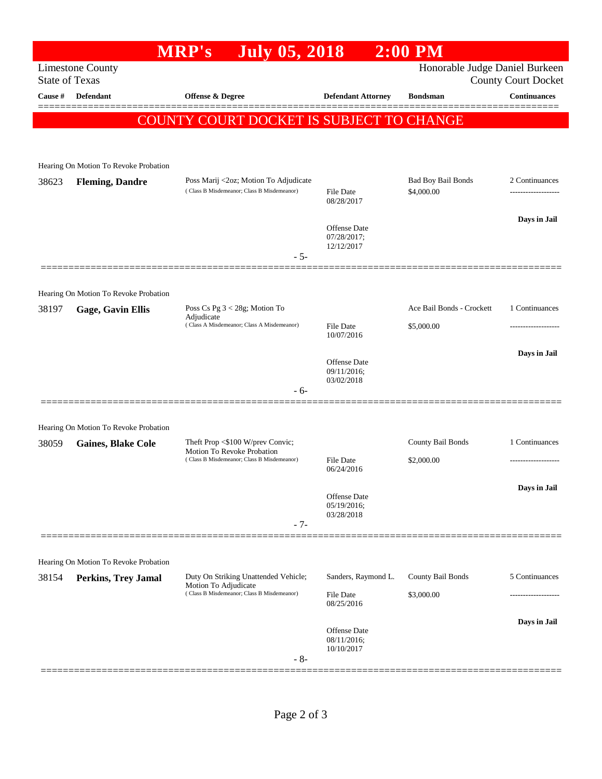|                                                                                                                  |                                       | <b>MRP's</b><br><b>July 05, 2018</b>                                                |                                                  | $2:00$ PM                               |                     |  |  |  |
|------------------------------------------------------------------------------------------------------------------|---------------------------------------|-------------------------------------------------------------------------------------|--------------------------------------------------|-----------------------------------------|---------------------|--|--|--|
| Honorable Judge Daniel Burkeen<br><b>Limestone County</b><br><b>State of Texas</b><br><b>County Court Docket</b> |                                       |                                                                                     |                                                  |                                         |                     |  |  |  |
| Cause #                                                                                                          | <b>Defendant</b>                      | Offense & Degree                                                                    | <b>Defendant Attorney</b>                        | <b>Bondsman</b>                         | <b>Continuances</b> |  |  |  |
|                                                                                                                  |                                       | <b>COUNTY COURT DOCKET IS SUBJECT TO CHANGE</b>                                     |                                                  |                                         |                     |  |  |  |
|                                                                                                                  |                                       |                                                                                     |                                                  |                                         |                     |  |  |  |
|                                                                                                                  | Hearing On Motion To Revoke Probation |                                                                                     |                                                  |                                         |                     |  |  |  |
| 38623                                                                                                            | <b>Fleming, Dandre</b>                | Poss Marij <2oz; Motion To Adjudicate<br>(Class B Misdemeanor; Class B Misdemeanor) | File Date<br>08/28/2017                          | <b>Bad Boy Bail Bonds</b><br>\$4,000.00 | 2 Continuances      |  |  |  |
|                                                                                                                  |                                       |                                                                                     | <b>Offense</b> Date<br>07/28/2017;<br>12/12/2017 |                                         | Days in Jail        |  |  |  |
|                                                                                                                  |                                       | $-5-$                                                                               |                                                  |                                         |                     |  |  |  |
|                                                                                                                  | Hearing On Motion To Revoke Probation |                                                                                     |                                                  |                                         |                     |  |  |  |
| 38197                                                                                                            | <b>Gage, Gavin Ellis</b>              | Poss Cs Pg 3 < 28g; Motion To<br>Adjudicate                                         |                                                  | Ace Bail Bonds - Crockett               | 1 Continuances      |  |  |  |
|                                                                                                                  |                                       | (Class A Misdemeanor; Class A Misdemeanor)                                          | File Date<br>10/07/2016                          | \$5,000.00                              | .                   |  |  |  |
|                                                                                                                  |                                       |                                                                                     | Offense Date<br>09/11/2016;<br>03/02/2018        |                                         | Days in Jail        |  |  |  |
|                                                                                                                  |                                       | - 6-                                                                                |                                                  |                                         |                     |  |  |  |
|                                                                                                                  | Hearing On Motion To Revoke Probation |                                                                                     |                                                  |                                         |                     |  |  |  |
| 38059                                                                                                            | <b>Gaines, Blake Cole</b>             | Theft Prop <\$100 W/prev Convic;<br>Motion To Revoke Probation                      |                                                  | County Bail Bonds                       | 1 Continuances      |  |  |  |
|                                                                                                                  |                                       | (Class B Misdemeanor; Class B Misdemeanor)                                          | File Date<br>06/24/2016                          | \$2,000.00                              |                     |  |  |  |
|                                                                                                                  |                                       | $-7-$                                                                               | Offense Date<br>05/19/2016;<br>03/28/2018        |                                         | Days in Jail        |  |  |  |
|                                                                                                                  |                                       |                                                                                     |                                                  |                                         |                     |  |  |  |
|                                                                                                                  | Hearing On Motion To Revoke Probation |                                                                                     |                                                  |                                         |                     |  |  |  |
| 38154                                                                                                            | <b>Perkins, Trey Jamal</b>            | Duty On Striking Unattended Vehicle;<br>Motion To Adjudicate                        | Sanders, Raymond L.                              | County Bail Bonds                       | 5 Continuances      |  |  |  |
|                                                                                                                  |                                       | (Class B Misdemeanor; Class B Misdemeanor)                                          | <b>File Date</b><br>08/25/2016                   | \$3,000.00                              | ---------------     |  |  |  |
|                                                                                                                  |                                       |                                                                                     | <b>Offense Date</b><br>08/11/2016;               |                                         | Days in Jail        |  |  |  |
|                                                                                                                  |                                       | $-8-$                                                                               | 10/10/2017                                       |                                         |                     |  |  |  |